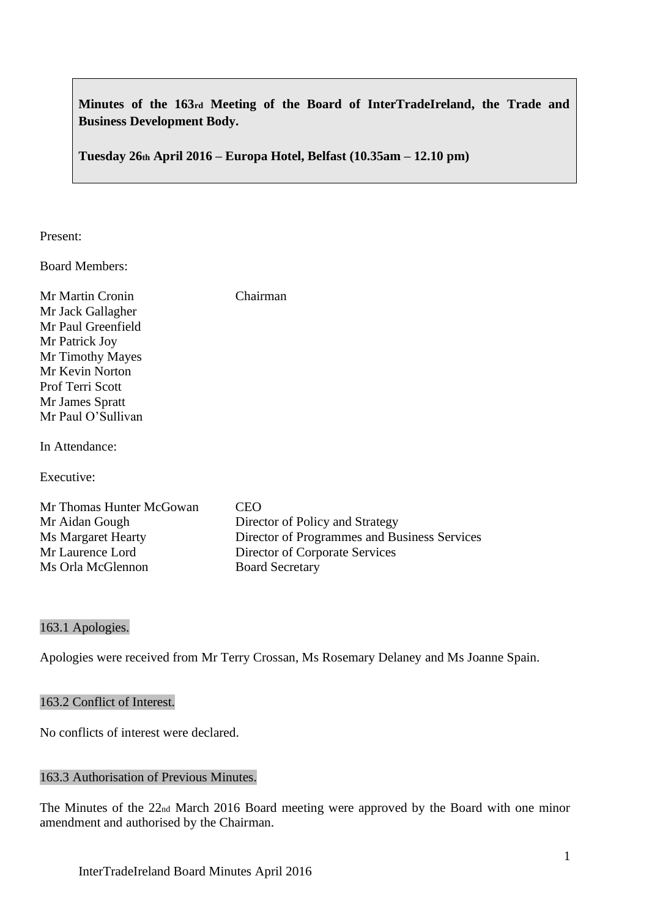**Minutes of the 163rd Meeting of the Board of InterTradeIreland, the Trade and Business Development Body.**

**Tuesday 26th April 2016 – Europa Hotel, Belfast (10.35am – 12.10 pm)**

Present:

Board Members:

| Mr Martin Cronin          | Chairman                                     |
|---------------------------|----------------------------------------------|
| Mr Jack Gallagher         |                                              |
| Mr Paul Greenfield        |                                              |
| Mr Patrick Joy            |                                              |
| Mr Timothy Mayes          |                                              |
| Mr Kevin Norton           |                                              |
| Prof Terri Scott          |                                              |
| Mr James Spratt           |                                              |
| Mr Paul O'Sullivan        |                                              |
|                           |                                              |
| In Attendance:            |                                              |
|                           |                                              |
| Executive:                |                                              |
|                           |                                              |
| Mr Thomas Hunter McGowan  | CEO                                          |
| Mr Aidan Gough            | Director of Policy and Strategy              |
| <b>Ms Margaret Hearty</b> | Director of Programmes and Business Services |
| Mr Laurence Lord          | Director of Corporate Services               |
| Ms Orla McGlennon         | <b>Board Secretary</b>                       |

163.1 Apologies.

Apologies were received from Mr Terry Crossan, Ms Rosemary Delaney and Ms Joanne Spain.

## 163.2 Conflict of Interest.

No conflicts of interest were declared.

#### 163.3 Authorisation of Previous Minutes.

The Minutes of the 22nd March 2016 Board meeting were approved by the Board with one minor amendment and authorised by the Chairman.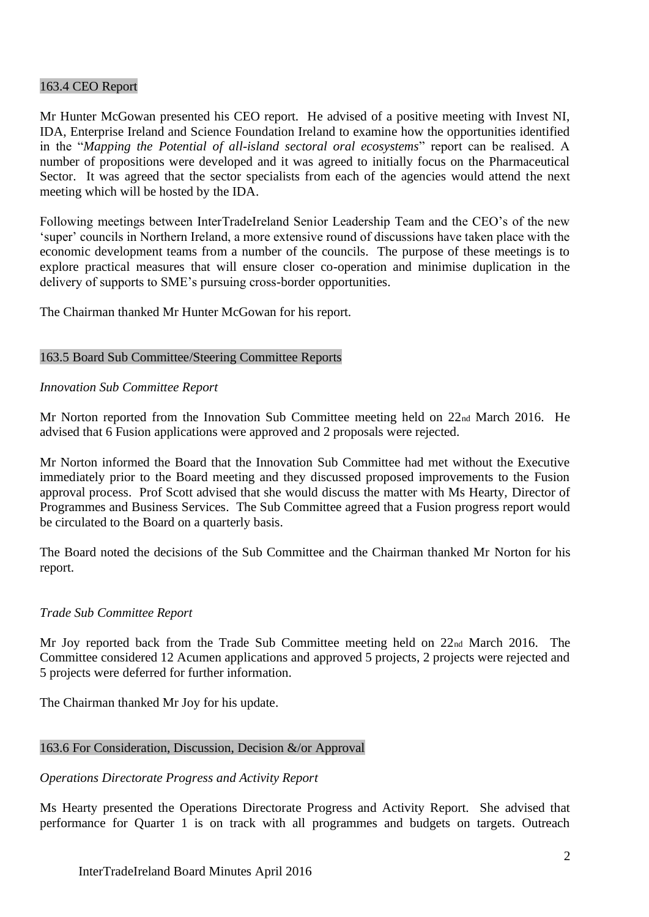### 163.4 CEO Report

Mr Hunter McGowan presented his CEO report. He advised of a positive meeting with Invest NI, IDA, Enterprise Ireland and Science Foundation Ireland to examine how the opportunities identified in the "*Mapping the Potential of all-island sectoral oral ecosystems*" report can be realised. A number of propositions were developed and it was agreed to initially focus on the Pharmaceutical Sector. It was agreed that the sector specialists from each of the agencies would attend the next meeting which will be hosted by the IDA.

Following meetings between InterTradeIreland Senior Leadership Team and the CEO's of the new 'super' councils in Northern Ireland, a more extensive round of discussions have taken place with the economic development teams from a number of the councils. The purpose of these meetings is to explore practical measures that will ensure closer co-operation and minimise duplication in the delivery of supports to SME's pursuing cross-border opportunities.

The Chairman thanked Mr Hunter McGowan for his report.

### 163.5 Board Sub Committee/Steering Committee Reports

### *Innovation Sub Committee Report*

Mr Norton reported from the Innovation Sub Committee meeting held on 22<sub>nd</sub> March 2016. He advised that 6 Fusion applications were approved and 2 proposals were rejected.

Mr Norton informed the Board that the Innovation Sub Committee had met without the Executive immediately prior to the Board meeting and they discussed proposed improvements to the Fusion approval process. Prof Scott advised that she would discuss the matter with Ms Hearty, Director of Programmes and Business Services. The Sub Committee agreed that a Fusion progress report would be circulated to the Board on a quarterly basis.

The Board noted the decisions of the Sub Committee and the Chairman thanked Mr Norton for his report.

### *Trade Sub Committee Report*

Mr Joy reported back from the Trade Sub Committee meeting held on 22nd March 2016. The Committee considered 12 Acumen applications and approved 5 projects, 2 projects were rejected and 5 projects were deferred for further information.

The Chairman thanked Mr Joy for his update.

### 163.6 For Consideration, Discussion, Decision &/or Approval

### *Operations Directorate Progress and Activity Report*

Ms Hearty presented the Operations Directorate Progress and Activity Report. She advised that performance for Quarter 1 is on track with all programmes and budgets on targets. Outreach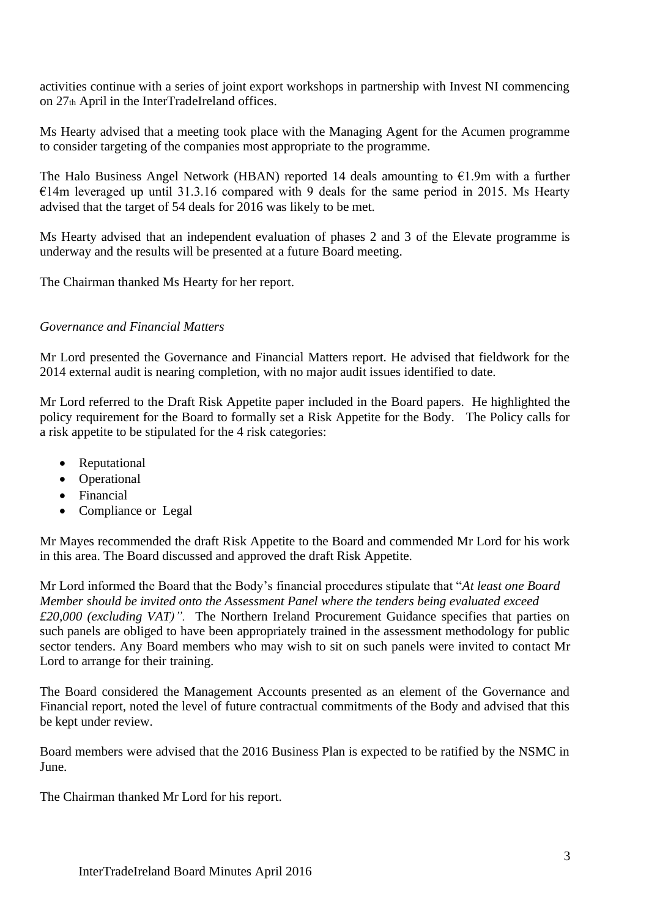activities continue with a series of joint export workshops in partnership with Invest NI commencing on 27th April in the InterTradeIreland offices.

Ms Hearty advised that a meeting took place with the Managing Agent for the Acumen programme to consider targeting of the companies most appropriate to the programme.

The Halo Business Angel Network (HBAN) reported 14 deals amounting to  $\epsilon$ 1.9m with a further  $€14m$  leveraged up until 31.3.16 compared with 9 deals for the same period in 2015. Ms Hearty advised that the target of 54 deals for 2016 was likely to be met.

Ms Hearty advised that an independent evaluation of phases 2 and 3 of the Elevate programme is underway and the results will be presented at a future Board meeting.

The Chairman thanked Ms Hearty for her report.

# *Governance and Financial Matters*

Mr Lord presented the Governance and Financial Matters report. He advised that fieldwork for the 2014 external audit is nearing completion, with no major audit issues identified to date.

Mr Lord referred to the Draft Risk Appetite paper included in the Board papers. He highlighted the policy requirement for the Board to formally set a Risk Appetite for the Body. The Policy calls for a risk appetite to be stipulated for the 4 risk categories:

- Reputational
- Operational
- Financial
- Compliance or Legal

Mr Mayes recommended the draft Risk Appetite to the Board and commended Mr Lord for his work in this area. The Board discussed and approved the draft Risk Appetite.

Mr Lord informed the Board that the Body's financial procedures stipulate that "*At least one Board Member should be invited onto the Assessment Panel where the tenders being evaluated exceed £20,000 (excluding VAT)".* The Northern Ireland Procurement Guidance specifies that parties on such panels are obliged to have been appropriately trained in the assessment methodology for public sector tenders. Any Board members who may wish to sit on such panels were invited to contact Mr Lord to arrange for their training.

The Board considered the Management Accounts presented as an element of the Governance and Financial report, noted the level of future contractual commitments of the Body and advised that this be kept under review.

Board members were advised that the 2016 Business Plan is expected to be ratified by the NSMC in June.

The Chairman thanked Mr Lord for his report.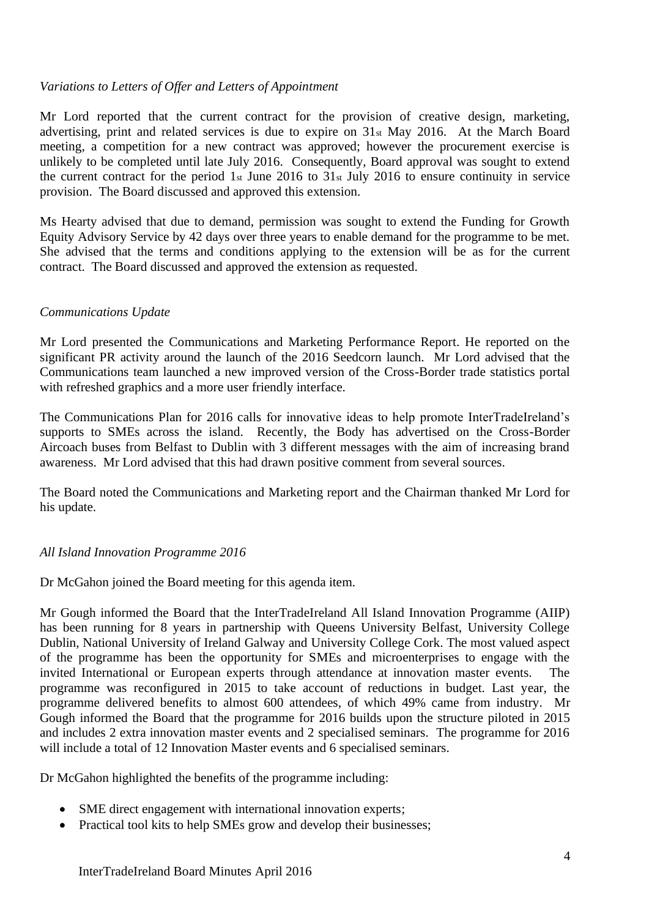## *Variations to Letters of Offer and Letters of Appointment*

Mr Lord reported that the current contract for the provision of creative design, marketing, advertising, print and related services is due to expire on 31st May 2016. At the March Board meeting, a competition for a new contract was approved; however the procurement exercise is unlikely to be completed until late July 2016. Consequently, Board approval was sought to extend the current contract for the period 1st June 2016 to 31st July 2016 to ensure continuity in service provision. The Board discussed and approved this extension.

Ms Hearty advised that due to demand, permission was sought to extend the Funding for Growth Equity Advisory Service by 42 days over three years to enable demand for the programme to be met. She advised that the terms and conditions applying to the extension will be as for the current contract. The Board discussed and approved the extension as requested.

### *Communications Update*

Mr Lord presented the Communications and Marketing Performance Report. He reported on the significant PR activity around the launch of the 2016 Seedcorn launch. Mr Lord advised that the Communications team launched a new improved version of the Cross-Border trade statistics portal with refreshed graphics and a more user friendly interface.

The Communications Plan for 2016 calls for innovative ideas to help promote InterTradeIreland's supports to SMEs across the island. Recently, the Body has advertised on the Cross-Border Aircoach buses from Belfast to Dublin with 3 different messages with the aim of increasing brand awareness. Mr Lord advised that this had drawn positive comment from several sources.

The Board noted the Communications and Marketing report and the Chairman thanked Mr Lord for his update.

### *All Island Innovation Programme 2016*

Dr McGahon joined the Board meeting for this agenda item.

Mr Gough informed the Board that the InterTradeIreland All Island Innovation Programme (AIIP) has been running for 8 years in partnership with Queens University Belfast, University College Dublin, National University of Ireland Galway and University College Cork. The most valued aspect of the programme has been the opportunity for SMEs and microenterprises to engage with the invited International or European experts through attendance at innovation master events. The programme was reconfigured in 2015 to take account of reductions in budget. Last year, the programme delivered benefits to almost 600 attendees, of which 49% came from industry. Mr Gough informed the Board that the programme for 2016 builds upon the structure piloted in 2015 and includes 2 extra innovation master events and 2 specialised seminars. The programme for 2016 will include a total of 12 Innovation Master events and 6 specialised seminars.

Dr McGahon highlighted the benefits of the programme including:

- SME direct engagement with international innovation experts;
- Practical tool kits to help SMEs grow and develop their businesses;